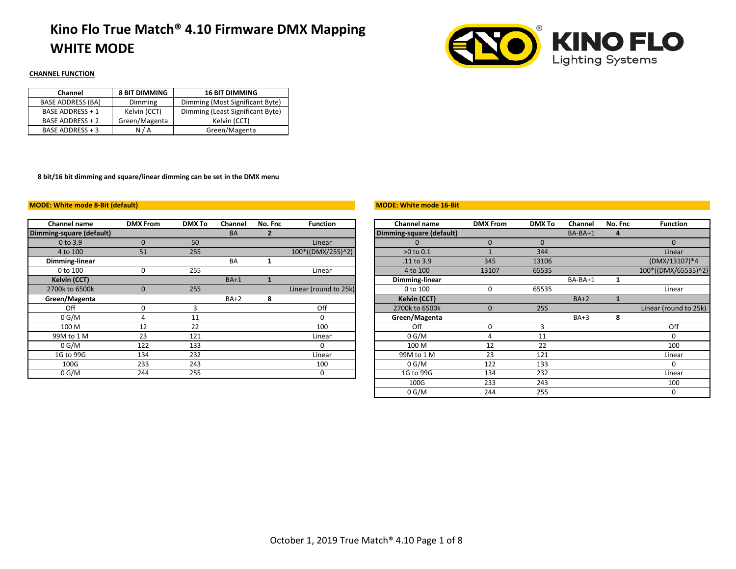## **Kino Flo True Match® 4.10 Firmware DMX Mapping WHITE MODE**



### **CHANNEL FUNCTION**

| Channel                  | <b>8 BIT DIMMING</b> | <b>16 BIT DIMMING</b>            |
|--------------------------|----------------------|----------------------------------|
| <b>BASE ADDRESS (BA)</b> | Dimming              | Dimming (Most Significant Byte)  |
| <b>BASE ADDRESS + 1</b>  | Kelvin (CCT)         | Dimming (Least Significant Byte) |
| <b>BASE ADDRESS + 2</b>  | Green/Magenta        | Kelvin (CCT)                     |
| BASE ADDRESS + 3         | N/A                  | Green/Magenta                    |

**8 bit/16 bit dimming and square/linear dimming can be set in the DMX menu**

#### **MODE: White mode 8-Bit (default)**

| Channel name             | <b>DMX From</b> | <b>DMX To</b> | Channel   | No. Fnc | <b>Function</b>       | Channel name             | <b>DMX From</b> | <b>DMX To</b> | Channel   | No. |
|--------------------------|-----------------|---------------|-----------|---------|-----------------------|--------------------------|-----------------|---------------|-----------|-----|
| Dimming-square (default) |                 |               | <b>BA</b> |         |                       | Dimming-square (default) |                 |               | $BA-BA+1$ |     |
| 0 to 3.9                 | $\Omega$        | 50            |           |         | Linear                | $\Omega$                 | $\Omega$        |               |           |     |
| 4 to 100                 | 51              | 255           |           |         | 100*((DMX/255)^2)     | $>0$ to $0.1$            |                 | 344           |           |     |
| Dimming-linear           |                 |               | <b>BA</b> |         |                       | .11 to 3.9               | 345             | 13106         |           |     |
| 0 to 100                 | 0               | 255           |           |         | Linear                | 4 to 100                 | 13107           | 65535         |           |     |
| Kelvin (CCT)             |                 |               | $BA+1$    |         |                       | Dimming-linear           |                 |               | BA-BA+1   |     |
| 2700k to 6500k           | $\Omega$        | 255           |           |         | Linear (round to 25k) | 0 to 100                 | 0               | 65535         |           |     |
| Green/Magenta            |                 |               | $BA+2$    | 8       |                       | <b>Kelvin (CCT)</b>      |                 |               | $BA+2$    |     |
| Off                      | 0               |               |           |         | Off                   | 2700k to 6500k           | $\mathbf{0}$    | 255           |           |     |
| 0 G/M                    | 4               | 11            |           |         |                       | Green/Magenta            |                 |               | $BA+3$    |     |
| 100 M                    | 12              | 22            |           |         | 100                   | Off                      | 0               |               |           |     |
| 99M to 1 M               | 23              | 121           |           |         | Linear                | 0 G/M                    | 4               | 11            |           |     |
| 0 G/M                    | 122             | 133           |           |         |                       | 100 M                    | 12              | 22            |           |     |
| 1G to 99G                | 134             | 232           |           |         | Linear                | 99M to 1 M               | 23              | 121           |           |     |
| 100G                     | 233             | 243           |           |         | 100                   | 0 G/M                    | 122             | 133           |           |     |
| 0 G/M                    | 244             | 255           |           |         |                       | 1G to 99G                | 134             | 232           |           |     |

#### **MODE: White mode 16-Bit**

| <b>Channel name</b>   | <b>DMX From</b> | <b>DMX To</b> | Channel | No. Fnc | <b>Function</b>       | <b>Channel name</b>      | <b>DMX From</b> | <b>DMX To</b> | Channel | No. Fnc | <b>Function</b>       |
|-----------------------|-----------------|---------------|---------|---------|-----------------------|--------------------------|-----------------|---------------|---------|---------|-----------------------|
| ning-square (default) |                 |               | BA      |         |                       | Dimming-square (default) |                 |               | BA-BA+1 | 4       |                       |
| 0 to 3.9              | $\Omega$        | 50            |         |         | Linear                |                          | $\Omega$        | $\mathbf 0$   |         |         | $\Omega$              |
| 4 to 100              | 51              | 255           |         |         | 100*((DMX/255)^2)     | $>0$ to $0.1$            |                 | 344           |         |         | Linear                |
| Dimming-linear        |                 |               | BA      |         |                       | .11 to 3.9               | 345             | 13106         |         |         | (DMX/13107)*4         |
| 0 to 100              | $\Omega$        | 255           |         |         | Linear                | 4 to 100                 | 13107           | 65535         |         |         | 100*((DMX/65535)^2)   |
| Kelvin (CCT)          |                 |               | $BA+1$  |         |                       | Dimming-linear           |                 |               | BA-BA+1 |         |                       |
| 2700k to 6500k        | $\Omega$        | 255           |         |         | Linear (round to 25k) | 0 to 100                 | 0               | 65535         |         |         | Linear                |
| Green/Magenta         |                 |               | $BA+2$  | 8       |                       | Kelvin (CCT)             |                 |               | $BA+2$  |         |                       |
| Off                   | $\Omega$        | 3             |         |         | Off                   | 2700k to 6500k           | $\Omega$        | 255           |         |         | Linear (round to 25k) |
| 0 G/M                 |                 | 11            |         |         | 0                     | Green/Magenta            |                 |               | $BA+3$  | 8       |                       |
| 100 M                 | 12              | 22            |         |         | 100                   | Off                      | 0               | З             |         |         | Off                   |
| 99M to 1 M            | 23              | 121           |         |         | Linear                | 0 G/M                    |                 | 11            |         |         | $\Omega$              |
| 0 G/M                 | 122             | 133           |         |         | 0                     | 100 M                    | 12              | 22            |         |         | 100                   |
| 1G to 99G             | 134             | 232           |         |         | Linear                | 99M to 1 M               | 23              | 121           |         |         | Linear                |
| 100G                  | 233             | 243           |         |         | 100                   | 0 G/M                    | 122             | 133           |         |         | $\Omega$              |
| 0 G/M                 | 244             | 255           |         |         | 0                     | 1G to 99G                | 134             | 232           |         |         | Linear                |
|                       |                 |               |         |         |                       | 100G                     | 233             | 243           |         |         | 100                   |
|                       |                 |               |         |         |                       | 0 G/M                    | 244             | 255           |         |         | 0                     |
|                       |                 |               |         |         |                       |                          |                 |               |         |         |                       |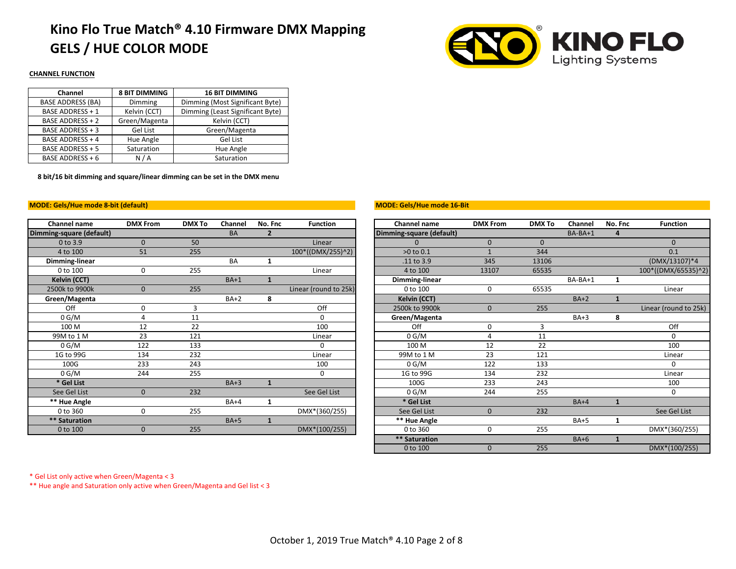## **Kino Flo True Match® 4.10 Firmware DMX Mapping GELS / HUE COLOR MODE**



#### **CHANNEL FUNCTION**

| Channel                  | <b>8 BIT DIMMING</b> | <b>16 BIT DIMMING</b>            |
|--------------------------|----------------------|----------------------------------|
| <b>BASE ADDRESS (BA)</b> | Dimming              | Dimming (Most Significant Byte)  |
| <b>BASE ADDRESS + 1</b>  | Kelvin (CCT)         | Dimming (Least Significant Byte) |
| <b>BASE ADDRESS + 2</b>  | Green/Magenta        | Kelvin (CCT)                     |
| BASE ADDRESS + 3         | Gel List             | Green/Magenta                    |
| <b>BASE ADDRESS + 4</b>  | Hue Angle            | Gel List                         |
| BASE ADDRESS + 5         | Saturation           | Hue Angle                        |
| BASE ADDRESS + 6         | N/A                  | Saturation                       |

**8 bit/16 bit dimming and square/linear dimming can be set in the DMX menu**

#### **MODE: Gels/Hue mode 8-bit (default)**

| <b>Channel name</b>      | <b>DMX From</b> | <b>DMX To</b> | Channel   | No. Fnc        | <b>Function</b>       | Channel name                 | <b>DMX From</b> | <b>DMX To</b> | Channel | No. |
|--------------------------|-----------------|---------------|-----------|----------------|-----------------------|------------------------------|-----------------|---------------|---------|-----|
| Dimming-square (default) |                 |               | <b>BA</b> | $\overline{2}$ |                       | Dimming-square (default)     |                 |               | BA-BA+1 |     |
| $0$ to $3.9$             | $\Omega$        | 50            |           |                | Linear                | $\Omega$                     | $\mathbf{0}$    | $\mathbf{0}$  |         |     |
| 4 to 100                 | 51              | 255           |           |                | 100*((DMX/255)^2)     | >0 to 0.1                    |                 | 344           |         |     |
| Dimming-linear           |                 |               | <b>BA</b> | 1              |                       | .11 to 3.9                   | 345             | 13106         |         |     |
| 0 to 100                 | 0               | 255           |           |                | Linear                | 4 to 100                     | 13107           | 65535         |         |     |
| Kelvin (CCT)             |                 |               | $BA+1$    | $\mathbf{1}$   |                       | Dimming-linear               |                 |               | BA-BA+1 |     |
| 2500k to 9900k           | $\mathbf{0}$    | 255           |           |                | Linear (round to 25k) | 0 to 100                     | 0               | 65535         |         |     |
| Green/Magenta            |                 |               | $BA+2$    | 8              |                       | Kelvin (CCT)                 |                 |               | $BA+2$  |     |
| Off                      | 0               | 3             |           |                | Off                   | 2500k to 9900k               | $\mathbf{0}$    | 255           |         |     |
| 0 G/M                    | 4               | 11            |           |                | 0                     | Green/Magenta                |                 |               | $BA+3$  |     |
| 100 M                    | 12              | 22            |           |                | 100                   | Off                          | 0               | 3             |         |     |
| 99M to 1 M               | 23              | 121           |           |                | Linear                | 0 G/M                        | 4               | 11            |         |     |
| 0 G/M                    | 122             | 133           |           |                | 0                     | 100 M                        | 12              | 22            |         |     |
| 1G to 99G                | 134             | 232           |           |                | Linear                | 99M to 1 M                   | 23              | 121           |         |     |
| 100G                     | 233             | 243           |           |                | 100                   | 0 G/M                        | 122             | 133           |         |     |
| 0 G/M                    | 244             | 255           |           |                | 0                     | 1G to 99G                    | 134             | 232           |         |     |
| * Gel List               |                 |               | $BA+3$    | $\mathbf{1}$   |                       | 100G                         | 233             | 243           |         |     |
| See Gel List             | $\mathbf{0}$    | 232           |           |                | See Gel List          | 0 G/M                        | 244             | 255           |         |     |
| ** Hue Angle             |                 |               | $BA+4$    | 1              |                       | * Gel List                   |                 |               | $BA+4$  |     |
| 0 to 360                 | 0               | 255           |           |                | DMX*(360/255)         | See Gel List                 | $\mathbf{0}$    | 232           |         |     |
| ** Saturation            |                 |               | $BA+5$    | $\mathbf{1}$   |                       | ** Hue Angle                 |                 |               | $BA+5$  |     |
| 0 to 100                 | $\mathbf{0}$    | 255           |           |                | DMX*(100/255)         | 0 to 360                     | 0               | 255           |         |     |
|                          |                 |               |           |                |                       | standard control of the con- |                 |               | $ -$    |     |

#### **MODE: Gels/Hue mode 16-Bit**

| Channel name          | <b>DMX From</b> | <b>DMX To</b> | Channel   | No. Fnc        | <b>Function</b>       | Channel name             | <b>DMX From</b> | <b>DMX To</b> | Channel | No. Fnc      | <b>Function</b>       |
|-----------------------|-----------------|---------------|-----------|----------------|-----------------------|--------------------------|-----------------|---------------|---------|--------------|-----------------------|
| ning-square (default) |                 |               | <b>BA</b> | $\overline{2}$ |                       | Dimming-square (default) |                 |               | BA-BA+1 | 4            |                       |
| 0 to 3.9              | $\Omega$        | 50            |           |                | Linear                |                          | $\overline{0}$  | $\Omega$      |         |              | $\Omega$              |
| 4 to 100              | 51              | 255           |           |                | 100*((DMX/255)^2)     | >0 to 0.1                |                 | 344           |         |              | 0.1                   |
| Dimming-linear        |                 |               | <b>BA</b> |                |                       | .11 to 3.9               | 345             | 13106         |         |              | (DMX/13107)*4         |
| 0 to 100              | $\mathbf{0}$    | 255           |           |                | Linear                | 4 to 100                 | 13107           | 65535         |         |              | 100*((DMX/65535)^2)   |
| Kelvin (CCT)          |                 |               | $BA+1$    |                |                       | Dimming-linear           |                 |               | BA-BA+1 | 1            |                       |
| 2500k to 9900k        | $\Omega$        | 255           |           |                | Linear (round to 25k) | 0 to 100                 | 0               | 65535         |         |              | Linear                |
| Green/Magenta         |                 |               | $BA+2$    | 8              |                       | Kelvin (CCT)             |                 |               | $BA+2$  |              |                       |
| Off                   | 0               | 3             |           |                | Off                   | 2500k to 9900k           | $\mathbf{0}$    | 255           |         |              | Linear (round to 25k) |
| 0 G/M                 | Δ               | 11            |           |                | 0                     | Green/Magenta            |                 |               | $BA+3$  | 8            |                       |
| 100 M                 | 12              | 22            |           |                | 100                   | Off                      | 0               | 3             |         |              | Off                   |
| 99M to 1 M            | 23              | 121           |           |                | Linear                | 0 G/M                    |                 | 11            |         |              | 0                     |
| 0 G/M                 | 122             | 133           |           |                | 0                     | 100 M                    | 12              | 22            |         |              | 100                   |
| 1G to 99G             | 134             | 232           |           |                | Linear                | 99M to 1 M               | 23              | 121           |         |              | Linear                |
| 100G                  | 233             | 243           |           |                | 100                   | 0 G/M                    | 122             | 133           |         |              | $\Omega$              |
| 0 G/M                 | 244             | 255           |           |                | 0                     | 1G to 99G                | 134             | 232           |         |              | Linear                |
| * Gel List            |                 |               | $BA+3$    | $\mathbf{1}$   |                       | 100G                     | 233             | 243           |         |              | 100                   |
| See Gel List          | $\Omega$        | 232           |           |                | See Gel List          | 0 G/M                    | 244             | 255           |         |              | $\Omega$              |
| ** Hue Angle          |                 |               | $BA+4$    | 1              |                       | * Gel List               |                 |               | $BA+4$  | $\mathbf{1}$ |                       |
| 0 to 360              | 0               | 255           |           |                | DMX*(360/255)         | See Gel List             | $\mathbf{0}$    | 232           |         |              | See Gel List          |
| ** Saturation         |                 |               | $BA+5$    | 1              |                       | ** Hue Angle             |                 |               | $BA+5$  | 1            |                       |
| 0 to 100              | $\mathbf{0}$    | 255           |           |                | DMX*(100/255)         | 0 to 360                 | O               | 255           |         |              | DMX*(360/255)         |
|                       |                 |               |           |                |                       | ** Saturation            |                 |               | $BA+6$  | $\mathbf{1}$ |                       |
|                       |                 |               |           |                |                       | 0 to 100                 | $\mathbf{0}$    | 255           |         |              | DMX*(100/255)         |

\* Gel List only active when Green/Magenta < 3

\*\* Hue angle and Saturation only active when Green/Magenta and Gel list < 3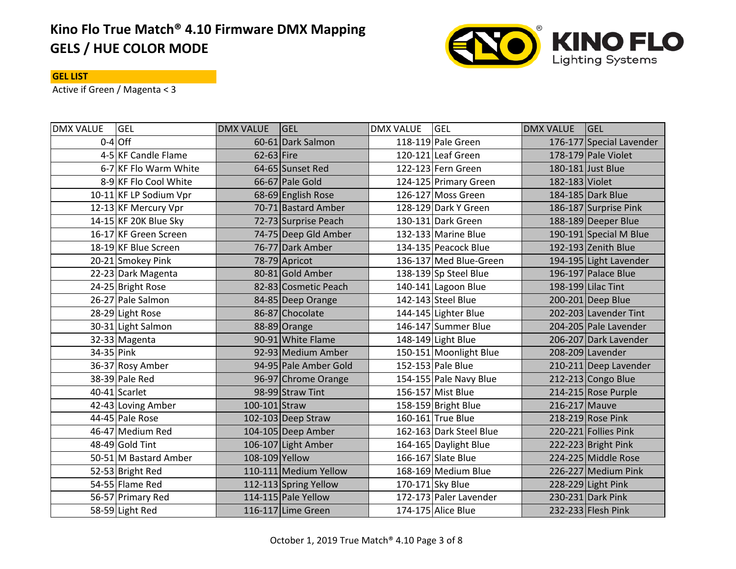# **Kino Flo True Match® 4.10 Firmware DMX Mapping GELS / HUE COLOR MODE**



### **GEL LIST**

Active if Green / Magenta < 3

| <b>DMX VALUE</b> | <b>GEL</b>             | <b>DMX VALUE</b> | <b>GEL</b>            | <b>DMX VALUE</b> | <b>GEL</b>              | <b>DMX VALUE</b> | <b>GEL</b>               |
|------------------|------------------------|------------------|-----------------------|------------------|-------------------------|------------------|--------------------------|
|                  | $0-4$ Off              |                  | 60-61 Dark Salmon     |                  | 118-119 Pale Green      |                  | 176-177 Special Lavender |
|                  | 4-5 KF Candle Flame    | $62-63$ Fire     |                       |                  | 120-121 Leaf Green      |                  | 178-179 Pale Violet      |
|                  | 6-7 KF Flo Warm White  |                  | 64-65 Sunset Red      |                  | 122-123 Fern Green      |                  | 180-181 Just Blue        |
|                  | 8-9 KF Flo Cool White  |                  | 66-67 Pale Gold       |                  | 124-125 Primary Green   | 182-183 Violet   |                          |
|                  | 10-11 KF LP Sodium Vpr |                  | 68-69 English Rose    |                  | 126-127 Moss Green      |                  | 184-185 Dark Blue        |
|                  | 12-13 KF Mercury Vpr   |                  | 70-71 Bastard Amber   |                  | 128-129 Dark Y Green    |                  | 186-187 Surprise Pink    |
|                  | 14-15 KF 20K Blue Sky  |                  | 72-73 Surprise Peach  |                  | 130-131 Dark Green      |                  | 188-189 Deeper Blue      |
|                  | 16-17 KF Green Screen  |                  | 74-75 Deep Gld Amber  |                  | 132-133 Marine Blue     |                  | 190-191 Special M Blue   |
|                  | 18-19 KF Blue Screen   |                  | 76-77 Dark Amber      |                  | 134-135 Peacock Blue    |                  | 192-193 Zenith Blue      |
|                  | 20-21 Smokey Pink      |                  | 78-79 Apricot         |                  | 136-137 Med Blue-Green  |                  | 194-195 Light Lavender   |
|                  | 22-23 Dark Magenta     |                  | 80-81 Gold Amber      |                  | 138-139 Sp Steel Blue   |                  | 196-197 Palace Blue      |
|                  | 24-25 Bright Rose      |                  | 82-83 Cosmetic Peach  |                  | 140-141 Lagoon Blue     |                  | 198-199 Lilac Tint       |
|                  | 26-27 Pale Salmon      |                  | 84-85 Deep Orange     |                  | 142-143 Steel Blue      |                  | 200-201 Deep Blue        |
|                  | 28-29 Light Rose       |                  | 86-87 Chocolate       |                  | 144-145 Lighter Blue    |                  | 202-203 Lavender Tint    |
|                  | 30-31 Light Salmon     |                  | 88-89 Orange          |                  | 146-147 Summer Blue     |                  | 204-205 Pale Lavender    |
|                  | 32-33 Magenta          |                  | 90-91 White Flame     |                  | 148-149 Light Blue      |                  | 206-207 Dark Lavender    |
| 34-35 Pink       |                        |                  | 92-93 Medium Amber    |                  | 150-151 Moonlight Blue  |                  | 208-209 Lavender         |
|                  | 36-37 Rosy Amber       |                  | 94-95 Pale Amber Gold |                  | 152-153 Pale Blue       |                  | 210-211 Deep Lavender    |
|                  | 38-39 Pale Red         |                  | 96-97 Chrome Orange   |                  | 154-155 Pale Navy Blue  |                  | 212-213 Congo Blue       |
|                  | 40-41 Scarlet          |                  | 98-99 Straw Tint      |                  | 156-157 Mist Blue       |                  | 214-215 Rose Purple      |
|                  | 42-43 Loving Amber     | 100-101 Straw    |                       |                  | 158-159 Bright Blue     | 216-217 Mauve    |                          |
|                  | 44-45 Pale Rose        |                  | 102-103 Deep Straw    |                  | 160-161 True Blue       |                  | 218-219 Rose Pink        |
|                  | 46-47 Medium Red       |                  | 104-105 Deep Amber    |                  | 162-163 Dark Steel Blue |                  | 220-221 Follies Pink     |
|                  | 48-49 Gold Tint        |                  | 106-107 Light Amber   |                  | 164-165 Daylight Blue   |                  | 222-223 Bright Pink      |
|                  | 50-51 M Bastard Amber  | 108-109 Yellow   |                       |                  | 166-167 Slate Blue      |                  | 224-225 Middle Rose      |
|                  | 52-53 Bright Red       |                  | 110-111 Medium Yellow |                  | 168-169 Medium Blue     |                  | 226-227 Medium Pink      |
|                  | 54-55 Flame Red        |                  | 112-113 Spring Yellow |                  | 170-171 Sky Blue        |                  | 228-229 Light Pink       |
|                  | 56-57 Primary Red      |                  | 114-115 Pale Yellow   |                  | 172-173 Paler Lavender  |                  | 230-231 Dark Pink        |
|                  | 58-59 Light Red        |                  | 116-117 Lime Green    |                  | 174-175 Alice Blue      |                  | 232-233 Flesh Pink       |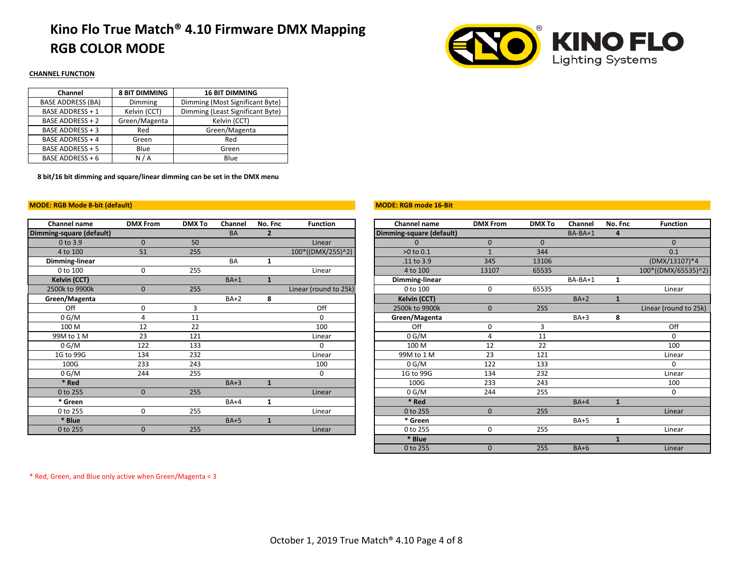### **Kino Flo True Match® 4.10 Firmware DMX Mapping RGB COLOR MODE**



### **CHANNEL FUNCTION**

| Channel                  | <b>8 BIT DIMMING</b> | <b>16 BIT DIMMING</b>            |
|--------------------------|----------------------|----------------------------------|
| <b>BASE ADDRESS (BA)</b> | Dimming              | Dimming (Most Significant Byte)  |
| <b>BASE ADDRESS + 1</b>  | Kelvin (CCT)         | Dimming (Least Significant Byte) |
| <b>BASE ADDRESS + 2</b>  | Green/Magenta        | Kelvin (CCT)                     |
| <b>BASE ADDRESS + 3</b>  | Red                  | Green/Magenta                    |
| <b>BASE ADDRESS + 4</b>  | Green                | Red                              |
| <b>BASE ADDRESS + 5</b>  | Blue                 | Green                            |
| BASE ADDRESS + 6         | N/A                  | Blue                             |

**8 bit/16 bit dimming and square/linear dimming can be set in the DMX menu**

#### **MODE: RGB Mode 8-bit (default)**

| Channel name             | <b>DMX From</b> | <b>DMX To</b> | Channel   | No. Fnc        | <b>Function</b>       | Channel name             | <b>DMX From</b> | <b>DMX To</b> | Channel | No. |
|--------------------------|-----------------|---------------|-----------|----------------|-----------------------|--------------------------|-----------------|---------------|---------|-----|
| Dimming-square (default) |                 |               | BA        | $\overline{2}$ |                       | Dimming-square (default) |                 |               | BA-BA+1 |     |
| 0 to 3.9                 | $\mathbf{0}$    | 50            |           |                | Linear                | 0                        | $\mathbf{0}$    | $\mathbf 0$   |         |     |
| 4 to 100                 | 51              | 255           |           |                | 100*((DMX/255)^2)     | >0 to 0.1                |                 | 344           |         |     |
| Dimming-linear           |                 |               | <b>BA</b> | 1              |                       | .11 to 3.9               | 345             | 13106         |         |     |
| 0 to 100                 | 0               | 255           |           |                | Linear                | 4 to 100                 | 13107           | 65535         |         |     |
| Kelvin (CCT)             |                 |               | $BA+1$    | $\mathbf{1}$   |                       | Dimming-linear           |                 |               | BA-BA+1 |     |
| 2500k to 9900k           | $\mathbf{0}$    | 255           |           |                | Linear (round to 25k) | 0 to 100                 | 0               | 65535         |         |     |
| Green/Magenta            |                 |               | $BA+2$    | 8              |                       | Kelvin (CCT)             |                 |               | $BA+2$  |     |
| Off                      | 0               | 3             |           |                | Off                   | 2500k to 9900k           | $\Omega$        | 255           |         |     |
| 0 G/M                    | 4               | 11            |           |                | 0                     | Green/Magenta            |                 |               | $BA+3$  |     |
| 100 M                    | 12              | 22            |           |                | 100                   | Off                      | 0               | 3             |         |     |
| 99M to 1 M               | 23              | 121           |           |                | Linear                | 0 G/M                    | 4               | 11            |         |     |
| 0 G/M                    | 122             | 133           |           |                | $\Omega$              | 100 M                    | 12              | 22            |         |     |
| 1G to 99G                | 134             | 232           |           |                | Linear                | 99M to 1 M               | 23              | 121           |         |     |
| 100G                     | 233             | 243           |           |                | 100                   | 0 G/M                    | 122             | 133           |         |     |
| 0 G/M                    | 244             | 255           |           |                | 0                     | 1G to 99G                | 134             | 232           |         |     |
| * Red                    |                 |               | $BA+3$    | 1              |                       | 100G                     | 233             | 243           |         |     |
| 0 to 255                 | $\mathbf{0}$    | 255           |           |                | Linear                | 0 G/M                    | 244             | 255           |         |     |
| * Green                  |                 |               | $BA+4$    | 1              |                       | * Red                    |                 |               | $BA+4$  |     |
| 0 to 255                 | 0               | 255           |           |                | Linear                | 0 to 255                 | $\mathbf{0}$    | 255           |         |     |
| * Blue                   |                 |               | $BA+5$    | $\mathbf{1}$   |                       | * Green                  |                 |               | $BA+5$  |     |
| 0 to 255                 | $\mathbf{0}$    | 255           |           |                | Linear                | 0 to 255                 | 0               | 255           |         |     |
|                          |                 |               |           |                |                       |                          |                 |               |         |     |

#### **MODE: RGB mode 16-Bit**

| Channel name          | <b>DMX From</b> | <b>DMX To</b> | Channel   | No. Fnc        | <b>Function</b>       | <b>Channel name</b>      | <b>DMX From</b> | <b>DMX To</b> | Channel     | No. Fnc      | <b>Function</b>       |
|-----------------------|-----------------|---------------|-----------|----------------|-----------------------|--------------------------|-----------------|---------------|-------------|--------------|-----------------------|
| ning-square (default) |                 |               | <b>BA</b> | $\overline{2}$ |                       | Dimming-square (default) |                 |               | BA-BA+1     | 4            |                       |
| 0 to 3.9              | $\Omega$        | 50            |           |                | Linear                |                          | $\mathbf{0}$    | $\Omega$      |             |              | $\Omega$              |
| 4 to 100              | 51              | 255           |           |                | 100*((DMX/255)^2)     | >0 to 0.1                |                 | 344           |             |              | 0.1                   |
| Dimming-linear        |                 |               | <b>BA</b> |                |                       | .11 to 3.9               | 345             | 13106         |             |              | (DMX/13107)*4         |
| 0 to 100              | $\mathbf{0}$    | 255           |           |                | Linear                | 4 to 100                 | 13107           | 65535         |             |              | 100*((DMX/65535)^2)   |
| Kelvin (CCT)          |                 |               | $BA+1$    |                |                       | Dimming-linear           |                 |               | BA-BA+1     | 1            |                       |
| 2500k to 9900k        | $\Omega$        | 255           |           |                | Linear (round to 25k) | 0 to 100                 | 0               | 65535         |             |              | Linear                |
| Green/Magenta         |                 |               | $BA+2$    | 8              |                       | Kelvin (CCT)             |                 |               | $BA+2$      |              |                       |
| Off                   | 0               | 3             |           |                | Off                   | 2500k to 9900k           | $\Omega$        | 255           |             |              | Linear (round to 25k) |
| 0 G/M                 | Δ               | 11            |           |                | 0                     | Green/Magenta            |                 |               | $BA+3$      | 8            |                       |
| 100 M                 | 12              | 22            |           |                | 100                   | Off                      | 0               |               |             |              | Off                   |
| 99M to 1 M            | 23              | 121           |           |                | Linear                | 0 G/M                    |                 | 11            |             |              | O                     |
| 0 G/M                 | 122             | 133           |           |                | 0                     | 100 M                    | 12              | 22            |             |              | 100                   |
| 1G to 99G             | 134             | 232           |           |                | Linear                | 99M to 1 M               | 23              | 121           |             |              | Linear                |
| 100G                  | 233             | 243           |           |                | 100                   | 0 G/M                    | 122             | 133           |             |              | $\Omega$              |
| 0 G/M                 | 244             | 255           |           |                | 0                     | 1G to 99G                | 134             | 232           |             |              | Linear                |
| * Red                 |                 |               | $BA+3$    | 1              |                       | 100G                     | 233             | 243           |             |              | 100                   |
| 0 to 255              | $\mathbf{0}$    | 255           |           |                | Linear                | 0 G/M                    | 244             | 255           |             |              | 0                     |
| * Green               |                 |               | $BA+4$    | 1              |                       | * Red                    |                 |               | $BA+4$      | $\mathbf{1}$ |                       |
| 0 to 255              | 0               | 255           |           |                | Linear                | 0 to 255                 | $\mathbf{0}$    | 255           |             |              | Linear                |
| * Blue                |                 |               | $BA+5$    | 1              |                       | * Green                  |                 |               | <b>BA+5</b> | 1            |                       |
| 0 to 255              | $\mathbf{0}$    | 255           |           |                | Linear                | 0 to 255                 | 0               | 255           |             |              | Linear                |
|                       |                 |               |           |                |                       | * Blue                   |                 |               |             |              |                       |
|                       |                 |               |           |                |                       | 0 to 255                 | 0               | 255           | $BA+6$      |              | Linear                |

\* Red, Green, and Blue only active when Green/Magenta < 3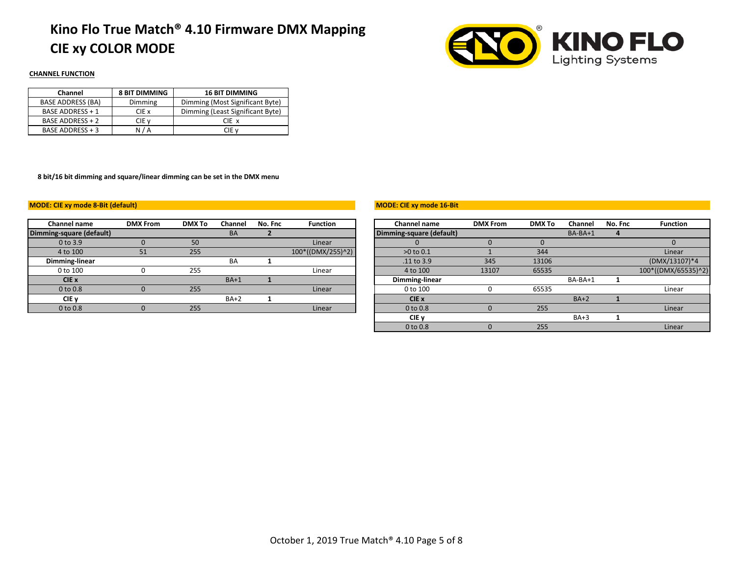# **Kino Flo True Match® 4.10 Firmware DMX Mapping CIE xy COLOR MODE**



### **CHANNEL FUNCTION**

| Channel                  | <b>8 BIT DIMMING</b> | <b>16 BIT DIMMING</b>            |
|--------------------------|----------------------|----------------------------------|
| <b>BASE ADDRESS (BA)</b> | Dimming              | Dimming (Most Significant Byte)  |
| <b>BASE ADDRESS + 1</b>  | CIE x                | Dimming (Least Significant Byte) |
| BASE ADDRESS + 2         | CIE v                | CIE x                            |
| BASE ADDRESS + 3         | N / A                | CIE v                            |

**8 bit/16 bit dimming and square/linear dimming can be set in the DMX menu**

#### **MODE: CIE xy mode 8-Bit (default)**

| <b>Channel name</b>      | <b>DMX From</b> | <b>DMX To</b> | Channel   | No. Fnc | <b>Function</b>   | Channel name             | <b>DMX From</b> | <b>DMX To</b> | Channel   | No. |
|--------------------------|-----------------|---------------|-----------|---------|-------------------|--------------------------|-----------------|---------------|-----------|-----|
| Dimming-square (default) |                 |               | <b>BA</b> |         |                   | Dimming-square (default) |                 |               | $BA-BA+1$ |     |
| $0$ to $3.9$             |                 | 50            |           |         | Linear            |                          |                 |               |           |     |
| 4 to 100                 | 51              | 255           |           |         | 100*((DMX/255)^2) | $>0$ to $0.1$            |                 | 344           |           |     |
| Dimming-linear           |                 |               | <b>BA</b> |         |                   | .11 to 3.9               | 345             | 13106         |           |     |
| 0 to 100                 |                 | 255           |           |         | Linear            | 4 to 100                 | 13107           | 65535         |           |     |
| CIE x                    |                 |               | $BA+1$    |         |                   | Dimming-linear           |                 |               | BA-BA+1   |     |
| 0 to 0.8                 |                 | 255           |           |         | Linear            | 0 to 100                 |                 | 65535         |           |     |
| CIE <sub>v</sub>         |                 |               | $BA+2$    |         |                   | CIE x                    |                 |               | $BA+2$    |     |
| 0 to 0.8                 |                 | 255           |           |         | Linear            | 0 to 0.8                 |                 | 255           |           |     |

#### **MODE: CIE xy mode 16-Bit**

| <b>Channel name</b>   | <b>DMX From</b> | <b>DMX To</b> | Channel   | No. Fnc | <b>Function</b>   | Channel name             | <b>DMX From</b> | <b>DMX To</b> | Channel   | No. Fnc | <b>Function</b>     |
|-----------------------|-----------------|---------------|-----------|---------|-------------------|--------------------------|-----------------|---------------|-----------|---------|---------------------|
| ning-square (default) |                 |               | <b>BA</b> |         |                   | Dimming-square (default) |                 |               | $BA-BA+1$ |         |                     |
| 0 to 3.9              |                 | 50            |           |         | Linear            |                          |                 |               |           |         |                     |
| 4 to 100              | 51              | 255           |           |         | 100*((DMX/255)^2) | $>0$ to $0.1$            |                 | 344           |           |         | Linear              |
| Dimming-linear        |                 |               | BA        |         |                   | .11 to 3.9               | 345             | 13106         |           |         | $(DMX/13107)*4$     |
| 0 to 100              |                 | 255           |           |         | Linear            | 4 to 100                 | 13107           | 65535         |           |         | 100*((DMX/65535)^2) |
| CIE x                 |                 |               | $BA+1$    |         |                   | Dimming-linear           |                 |               | BA-BA+1   |         |                     |
| 0 to 0.8              |                 | 255           |           |         | Linear            | 0 to 100                 |                 | 65535         |           |         | Linear              |
| CIE <sub>y</sub>      |                 |               | $BA+2$    |         |                   | CIE x                    |                 |               | $BA+2$    |         |                     |
| 0 to 0.8              | $\Omega$        | 255           |           |         | Linear            | 0 to 0.8                 |                 | 255           |           |         | Linear              |
|                       |                 |               |           |         |                   | CIE <sub>v</sub>         |                 |               | $BA+3$    |         |                     |
|                       |                 |               |           |         |                   | 0 to 0.8                 |                 | 255           |           |         | Linear              |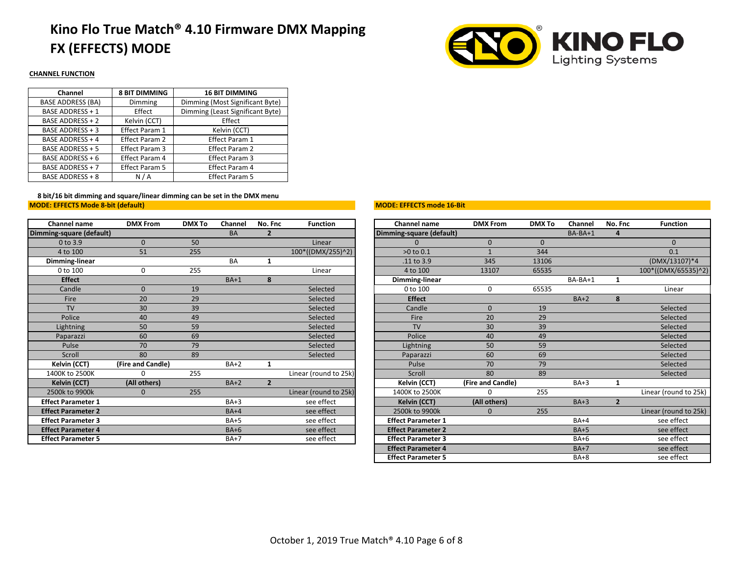# **Kino Flo True Match® 4.10 Firmware DMX Mapping FX (EFFECTS) MODE**



### **CHANNEL FUNCTION**

| <b>8 BIT DIMMING</b>  | <b>16 BIT DIMMING</b>            |
|-----------------------|----------------------------------|
| Dimming               | Dimming (Most Significant Byte)  |
| Effect                | Dimming (Least Significant Byte) |
| Kelvin (CCT)          | Effect                           |
| <b>Effect Param 1</b> | Kelvin (CCT)                     |
| Effect Param 2        | <b>Effect Param 1</b>            |
| Effect Param 3        | Effect Param 2                   |
| Effect Param 4        | Effect Param 3                   |
| Effect Param 5        | <b>Effect Param 4</b>            |
| N/A                   | <b>Effect Param 5</b>            |
|                       |                                  |

**MODE: EFFECTS Mode 8-bit (default) 8 bit/16 bit dimming and square/linear dimming can be set in the DMX menu**

| Channel name              | <b>DMX From</b>   | <b>DMX To</b> | Channel   | No. Fnc        | <b>Function</b>       | Channel name              | <b>DMX From</b>   | <b>DMX To</b> | Channel | No. |
|---------------------------|-------------------|---------------|-----------|----------------|-----------------------|---------------------------|-------------------|---------------|---------|-----|
| Dimming-square (default)  |                   |               | <b>BA</b> | $\overline{2}$ |                       | Dimming-square (default)  |                   |               | BA-BA+1 |     |
| $0$ to $3.9$              | $\Omega$          | 50            |           |                | Linear                | $\Omega$                  | $\mathbf{0}$      | $\mathbf{0}$  |         |     |
| 4 to 100                  | 51                | 255           |           |                | 100*((DMX/255)^2)     | $>0$ to $0.1$             | $\mathbf{1}$      | 344           |         |     |
| Dimming-linear            |                   |               | <b>BA</b> | 1              |                       | .11 to 3.9                | 345               | 13106         |         |     |
| 0 to 100                  | $\Omega$          | 255           |           |                | Linear                | 4 to 100                  | 13107             | 65535         |         |     |
| <b>Effect</b>             |                   |               | $BA+1$    | 8              |                       | Dimming-linear            |                   |               | BA-BA+1 |     |
| Candle                    | $\Omega$          | 19            |           |                | Selected              | 0 to 100                  | 0                 | 65535         |         |     |
| Fire                      | 20                | 29            |           |                | Selected              | <b>Effect</b>             |                   |               | $BA+2$  |     |
| <b>TV</b>                 | 30                | 39            |           |                | Selected              | Candle                    | $\overline{0}$    | 19            |         |     |
| Police                    | 40                | 49            |           |                | Selected              | Fire                      | 20                | 29            |         |     |
| Lightning                 | 50                | 59            |           |                | Selected              | <b>TV</b>                 | 30                | 39            |         |     |
| Paparazzi                 | 60                | 69            |           |                | Selected              | Police                    | 40                | 49            |         |     |
| Pulse                     | 70                | 79            |           |                | Selected              | Lightning                 | 50                | 59            |         |     |
| Scroll                    | 80                | 89            |           |                | Selected              | Paparazzi                 | 60                | 69            |         |     |
| Kelvin (CCT)              | (Fire and Candle) |               | $BA+2$    | 1              |                       | Pulse                     | 70                | 79            |         |     |
| 1400K to 2500K            |                   | 255           |           |                | Linear (round to 25k) | Scroll                    | 80                | 89            |         |     |
| Kelvin (CCT)              | (All others)      |               | $BA+2$    | $\overline{2}$ |                       | Kelvin (CCT)              | (Fire and Candle) |               | $BA+3$  |     |
| 2500k to 9900k            | 0                 | 255           |           |                | Linear (round to 25k) | 1400K to 2500K            | 0                 | 255           |         |     |
| <b>Effect Parameter 1</b> |                   |               | $BA+3$    |                | see effect            | Kelvin (CCT)              | (All others)      |               | $BA+3$  |     |
| <b>Effect Parameter 2</b> |                   |               | $BA+4$    |                | see effect            | 2500k to 9900k            | $\mathbf 0$       | 255           |         |     |
| <b>Effect Parameter 3</b> |                   |               | $BA+5$    |                | see effect            | <b>Effect Parameter 1</b> |                   |               | $BA+4$  |     |
| <b>Effect Parameter 4</b> |                   |               | $BA+6$    |                | see effect            | <b>Effect Parameter 2</b> |                   |               | $BA+5$  |     |
| <b>Effect Parameter 5</b> |                   |               | $BA+7$    |                | see effect            | <b>Effect Parameter 3</b> |                   |               | $BA+6$  |     |
|                           |                   |               |           |                |                       |                           |                   |               |         |     |

#### **MODE: EFFECTS mode 16-Bit**

| Channel name              | <b>DMX From</b>   | <b>DMX To</b> | Channel   | No. Fnc        | <b>Function</b>       | <b>Channel name</b>       | <b>DMX From</b>   | <b>DMX To</b> | Channel   | No. Fnc        | <b>Function</b>       |
|---------------------------|-------------------|---------------|-----------|----------------|-----------------------|---------------------------|-------------------|---------------|-----------|----------------|-----------------------|
| ming-square (default)     |                   |               | <b>BA</b> | $\overline{2}$ |                       | Dimming-square (default)  |                   |               | $BA-BA+1$ | 4              |                       |
| 0 to 3.9                  | $\Omega$          | 50            |           |                | Linear                |                           | $\mathbf{0}$      | $\Omega$      |           |                | $\Omega$              |
| 4 to 100                  | 51                | 255           |           |                | 100*((DMX/255)^2)     | $>0$ to $0.1$             |                   | 344           |           |                | 0.1                   |
| Dimming-linear            |                   |               | <b>BA</b> | 1              |                       | .11 to 3.9                | 345               | 13106         |           |                | (DMX/13107)*4         |
| 0 to 100                  | 0                 | 255           |           |                | Linear                | 4 to 100                  | 13107             | 65535         |           |                | 100*((DMX/65535)^2)   |
| <b>Effect</b>             |                   |               | $BA+1$    | 8              |                       | Dimming-linear            |                   |               | $BA-BA+1$ | 1              |                       |
| Candle                    | $\overline{0}$    | 19            |           |                | Selected              | 0 to 100                  | 0                 | 65535         |           |                | Linear                |
| Fire                      | 20                | 29            |           |                | Selected              | <b>Effect</b>             |                   |               | $BA+2$    | 8              |                       |
| <b>TV</b>                 | 30                | 39            |           |                | Selected              | Candle                    | $\mathbf{0}$      | 19            |           |                | Selected              |
| Police                    | 40                | 49            |           |                | Selected              | Fire                      | 20                | 29            |           |                | Selected              |
| Lightning                 | 50                | 59            |           |                | Selected              | <b>TV</b>                 | 30 <sup>°</sup>   | 39            |           |                | Selected              |
| Paparazzi                 | 60                | 69            |           |                | Selected              | Police                    | 40                | 49            |           |                | Selected              |
| Pulse                     | 70                | 79            |           |                | Selected              | Lightning                 | 50                | 59            |           |                | Selected              |
| Scroll                    | 80                | 89            |           |                | Selected              | Paparazzi                 | 60                | 69            |           |                | Selected              |
| Kelvin (CCT)              | (Fire and Candle) |               | $BA+2$    | 1              |                       | Pulse                     | 70                | 79            |           |                | Selected              |
| 1400K to 2500K            |                   | 255           |           |                | Linear (round to 25k) | Scroll                    | 80                | 89            |           |                | Selected              |
| Kelvin (CCT)              | (All others)      |               | $BA+2$    | $\overline{2}$ |                       | Kelvin (CCT)              | (Fire and Candle) |               | $BA+3$    | 1              |                       |
| 2500k to 9900k            | $\mathbf{0}$      | 255           |           |                | Linear (round to 25k) | 1400K to 2500K            | $\Omega$          | 255           |           |                | Linear (round to 25k) |
| <b>Effect Parameter 1</b> |                   |               | $BA+3$    |                | see effect            | <b>Kelvin (CCT)</b>       | (All others)      |               | $BA+3$    | $\overline{2}$ |                       |
| <b>Effect Parameter 2</b> |                   |               | $BA+4$    |                | see effect            | 2500k to 9900k            | $\Omega$          | 255           |           |                | Linear (round to 25k) |
| <b>Effect Parameter 3</b> |                   |               | $BA+5$    |                | see effect            | <b>Effect Parameter 1</b> |                   |               | $BA+4$    |                | see effect            |
| <b>Effect Parameter 4</b> |                   |               | $BA+6$    |                | see effect            | <b>Effect Parameter 2</b> |                   |               | $BA+5$    |                | see effect            |
| <b>Effect Parameter 5</b> |                   |               | $BA+7$    |                | see effect            | <b>Effect Parameter 3</b> |                   |               | $BA+6$    |                | see effect            |
|                           |                   |               |           |                |                       | <b>Effect Parameter 4</b> |                   |               | $BA+7$    |                | see effect            |
|                           |                   |               |           |                |                       | <b>Effect Parameter 5</b> |                   |               | $BA+8$    |                | see effect            |
|                           |                   |               |           |                |                       |                           |                   |               |           |                |                       |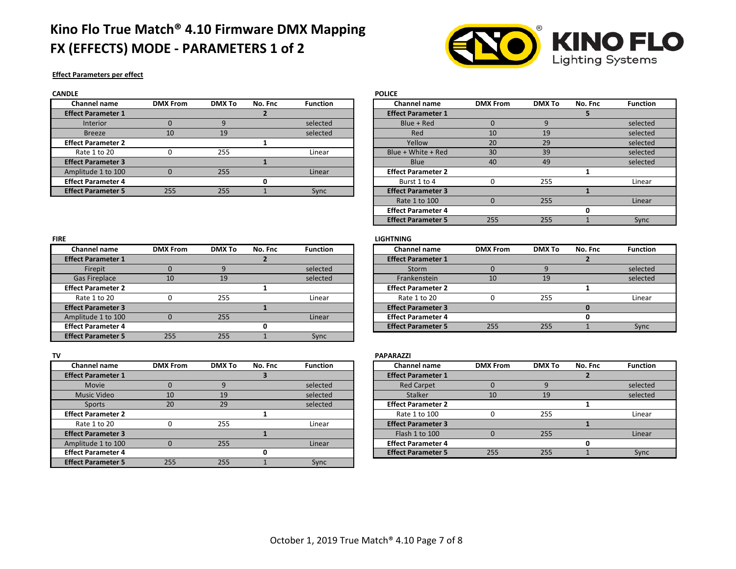## **Kino Flo True Match® 4.10 Firmware DMX Mapping FX (EFFECTS) MODE - PARAMETERS 1 of 2**



┑

### **Effect Parameters per effect**

| <b>CANDLE</b>             |                 |               |         |                 | <b>POLICE</b>             |                 |               |         |                 |
|---------------------------|-----------------|---------------|---------|-----------------|---------------------------|-----------------|---------------|---------|-----------------|
| Channel name              | <b>DMX From</b> | <b>DMX To</b> | No. Fnc | <b>Function</b> | <b>Channel name</b>       | <b>DMX From</b> | <b>DMX To</b> | No. Fnc | <b>Function</b> |
| <b>Effect Parameter 1</b> |                 |               |         |                 | <b>Effect Parameter 1</b> |                 |               |         |                 |
| Interior                  |                 |               |         | selected        | Blue + Red                |                 |               |         | selected        |
| <b>Breeze</b>             | 10              | 19            |         | selected        | Red                       | 10              | 19            |         | selected        |
| <b>Effect Parameter 2</b> |                 |               |         |                 | Yellow                    | 20              | 29            |         | selected        |
| Rate 1 to 20              |                 | 255           |         | Linear          | Blue + White + Red        | 30              | 39            |         | selected        |
| <b>Effect Parameter 3</b> |                 |               |         |                 | <b>Blue</b>               | 40              | 49            |         | selected        |
| Amplitude 1 to 100        |                 | 255           |         | Linear          | <b>Effect Parameter 2</b> |                 |               |         |                 |
| <b>Effect Parameter 4</b> |                 |               |         |                 | Burst 1 to 4              |                 | 255           |         | Linear          |
| <b>Effect Parameter 5</b> | 255             | 255           |         | Sync            | <b>Effect Parameter 3</b> |                 |               |         |                 |

| nanner name      | <b>DIVIA FIUII</b> | <b>UNAIU</b> | INO. FIIL | runcuon  | Channel name              | <b>UNIA FIUIL</b> | <b>UNAIO</b> | <b>NO. FIIC</b> | runcuon  |
|------------------|--------------------|--------------|-----------|----------|---------------------------|-------------------|--------------|-----------------|----------|
| ect Parameter 1  |                    |              |           |          | <b>Effect Parameter 1</b> |                   |              |                 |          |
| <b>Interior</b>  |                    |              |           | selected | Blue + Red                |                   |              |                 | selected |
| <b>Breeze</b>    | 10                 | 19           |           | selected | Red                       | 10                | 19           |                 | selected |
| ect Parameter 2  |                    |              |           |          | Yellow                    | 20                | 29           |                 | selected |
| Rate 1 to 20     |                    | 255          |           | Linear   | Blue + White + Red        | 30                | 39           |                 | selected |
| ect Parameter 3  |                    |              |           |          | <b>Blue</b>               | 40                | 49           |                 | selected |
| plitude 1 to 100 |                    | 255          |           | Linear   | <b>Effect Parameter 2</b> |                   |              |                 |          |
| ect Parameter 4  |                    |              |           |          | Burst 1 to 4              |                   | 255          |                 | Linear   |
| ect Parameter 5  | 255                | 255          |           | Sync     | <b>Effect Parameter 3</b> |                   |              |                 |          |
|                  |                    |              |           |          | Rate 1 to 100             |                   | 255          |                 | Linear   |
|                  |                    |              |           |          | <b>Effect Parameter 4</b> |                   |              |                 |          |
|                  |                    |              |           |          | <b>Effect Parameter 5</b> | 255               | 255          |                 | Sync     |

#### **FIRE LIGHTNING**

| Channel name         | <b>DMX From</b> | <b>DMX To</b> | No. Fnc | <b>Function</b> |
|----------------------|-----------------|---------------|---------|-----------------|
| ect Parameter 1      |                 |               |         |                 |
| Firepit              |                 |               |         | selected        |
| <b>Gas Fireplace</b> |                 | 19            |         | selected        |
| ect Parameter 2      |                 |               |         |                 |
| Rate 1 to 20         |                 | 255           |         | Linear          |
| ect Parameter 3      |                 |               |         |                 |
| plitude 1 to 100     |                 | 255           |         | Linear          |
| ect Parameter 4      |                 |               |         |                 |

| Channel name              | <b>DMX From</b> | <b>DMX To</b> | No. Fnc | <b>Function</b> |
|---------------------------|-----------------|---------------|---------|-----------------|
| <b>Effect Parameter 1</b> |                 |               |         |                 |
| Firepit                   |                 |               |         | selected        |
| <b>Gas Fireplace</b>      | 10              | 19            |         | selected        |
| <b>Effect Parameter 2</b> |                 |               |         |                 |
| Rate 1 to 20              |                 | 255           |         | Linear          |
| <b>Effect Parameter 3</b> |                 |               |         |                 |
| Amplitude 1 to 100        |                 | 255           |         | Linear          |
| <b>Effect Parameter 4</b> |                 |               |         |                 |
| <b>Effect Parameter 5</b> | 255             | 255           |         | Sync            |

| TV                        |                 |               |         |                 | <b>PAPARAZZI</b>          |                 |               |         |                |
|---------------------------|-----------------|---------------|---------|-----------------|---------------------------|-----------------|---------------|---------|----------------|
| Channel name              | <b>DMX From</b> | <b>DMX To</b> | No. Fnc | <b>Function</b> | <b>Channel name</b>       | <b>DMX From</b> | <b>DMX To</b> | No. Fnc | <b>Functic</b> |
| <b>Effect Parameter 1</b> |                 |               |         |                 | <b>Effect Parameter 1</b> |                 |               |         |                |
| Movie                     |                 |               |         | selected        | <b>Red Carpet</b>         |                 |               |         | selecte        |
| Music Video               | 10              | 19            |         | selected        | <b>Stalker</b>            | 10              | 19            |         | selecte        |
| Sports                    | 20              | 29            |         | selected        | <b>Effect Parameter 2</b> |                 |               |         |                |
| <b>Effect Parameter 2</b> |                 |               |         |                 | Rate 1 to 100             |                 | 255           |         | Linear         |
| Rate 1 to 20              |                 | 255           |         | Linear          | <b>Effect Parameter 3</b> |                 |               |         |                |
| <b>Effect Parameter 3</b> |                 |               |         |                 | Flash 1 to 100            |                 | 255           |         | Linear         |
| Amplitude 1 to 100        |                 | 255           |         | Linear          | <b>Effect Parameter 4</b> |                 |               |         |                |
| <b>Effect Parameter 4</b> |                 |               |         |                 | <b>Effect Parameter 5</b> | 255             | 255           |         | Sync           |
| <b>Effect Parameter 5</b> | 255             | 255           |         | Sync            |                           |                 |               |         |                |

| Channel name      | <b>DMX From</b> | <b>DMX To</b> | No. Fnc | <b>Function</b> |
|-------------------|-----------------|---------------|---------|-----------------|
| fect Parameter 1  |                 |               |         |                 |
| Movie             |                 |               |         | selected        |
| Music Video       | 10              | 19            |         | selected        |
| Sports            | 20              | 29            |         | selected        |
| fect Parameter 2  |                 |               |         |                 |
| Rate 1 to 20      |                 | 255           |         | Linear          |
| fect Parameter 3  |                 |               |         |                 |
| nplitude 1 to 100 |                 | 255           |         | Linear          |
| fect Parameter 4  |                 |               |         |                 |